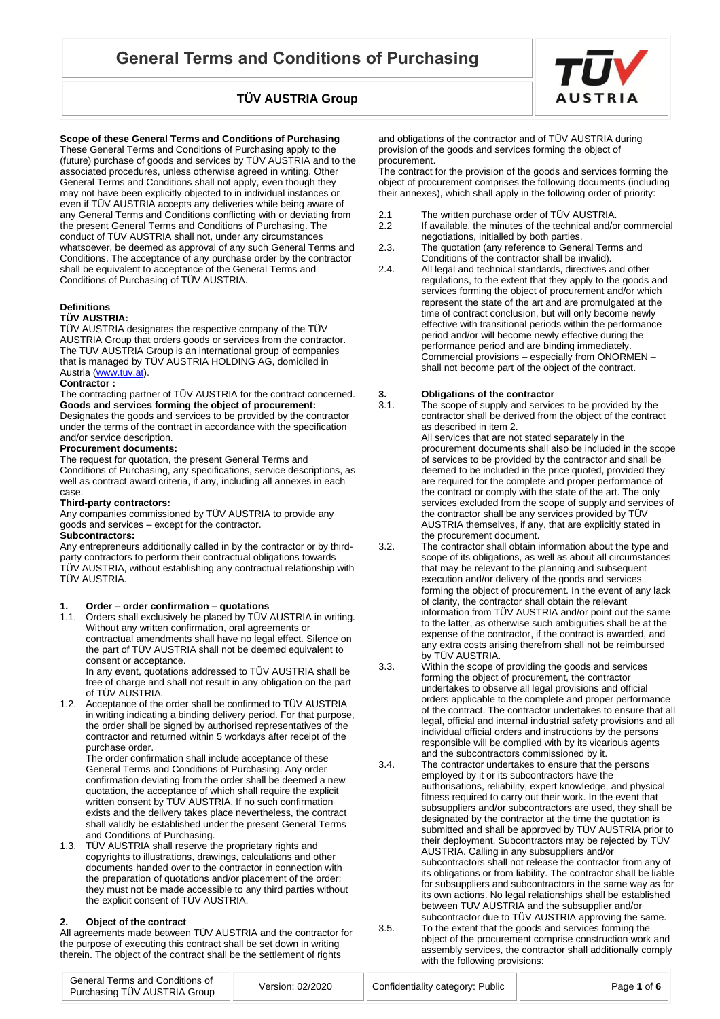

**Scope of these General Terms and Conditions of Purchasing** 

These General Terms and Conditions of Purchasing apply to the (future) purchase of goods and services by TÜV AUSTRIA and to the associated procedures, unless otherwise agreed in writing. Other General Terms and Conditions shall not apply, even though they may not have been explicitly objected to in individual instances or even if TÜV AUSTRIA accepts any deliveries while being aware of any General Terms and Conditions conflicting with or deviating from the present General Terms and Conditions of Purchasing. The conduct of TÜV AUSTRIA shall not, under any circumstances whatsoever, be deemed as approval of any such General Terms and Conditions. The acceptance of any purchase order by the contractor shall be equivalent to acceptance of the General Terms and Conditions of Purchasing of TÜV AUSTRIA.

### **Definitions**

### **TÜV AUSTRIA:**

TÜV AUSTRIA designates the respective company of the TÜV AUSTRIA Group that orders goods or services from the contractor. The TÜV AUSTRIA Group is an international group of companies that is managed by TÜV AUSTRIA HOLDING AG, domiciled in Austria [\(www.tuv.at\)](http://www.tuv.at/).

#### **Contractor :**

The contracting partner of TÜV AUSTRIA for the contract concerned. **Goods and services forming the object of procurement:** Designates the goods and services to be provided by the contractor under the terms of the contract in accordance with the specification and/or service description.

### **Procurement documents:**

The request for quotation, the present General Terms and Conditions of Purchasing, any specifications, service descriptions, as well as contract award criteria, if any, including all annexes in each case.

### **Third-party contractors:**

Any companies commissioned by TÜV AUSTRIA to provide any goods and services – except for the contractor.

### **Subcontractors:**

Any entrepreneurs additionally called in by the contractor or by thirdparty contractors to perform their contractual obligations towards TÜV AUSTRIA, without establishing any contractual relationship with TÜV AUSTRIA.

#### **1. Order – order confirmation – quotations**

1.1. Orders shall exclusively be placed by TÜV AUSTRIA in writing. Without any written confirmation, oral agreements or contractual amendments shall have no legal effect. Silence on the part of TÜV AUSTRIA shall not be deemed equivalent to consent or acceptance. In any event, quotations addressed to TÜV AUSTRIA shall be

free of charge and shall not result in any obligation on the part of TÜV AUSTRIA.

1.2. Acceptance of the order shall be confirmed to TÜV AUSTRIA in writing indicating a binding delivery period. For that purpose, the order shall be signed by authorised representatives of the contractor and returned within 5 workdays after receipt of the purchase order.

The order confirmation shall include acceptance of these General Terms and Conditions of Purchasing. Any order confirmation deviating from the order shall be deemed a new quotation, the acceptance of which shall require the explicit written consent by TÜV AUSTRIA. If no such confirmation exists and the delivery takes place nevertheless, the contract shall validly be established under the present General Terms and Conditions of Purchasing.

1.3. TÜV AUSTRIA shall reserve the proprietary rights and copyrights to illustrations, drawings, calculations and other documents handed over to the contractor in connection with the preparation of quotations and/or placement of the order; they must not be made accessible to any third parties without the explicit consent of TÜV AUSTRIA.

### **2. Object of the contract**

All agreements made between TÜV AUSTRIA and the contractor for the purpose of executing this contract shall be set down in writing therein. The object of the contract shall be the settlement of rights

and obligations of the contractor and of TÜV AUSTRIA during provision of the goods and services forming the object of procurement.

The contract for the provision of the goods and services forming the object of procurement comprises the following documents (including their annexes), which shall apply in the following order of priority:

- 2.1 The written purchase order of TÜV AUSTRIA.
- 2.2 If available, the minutes of the technical and/or commercial negotiations, initialled by both parties.
- 2.3. The quotation (any reference to General Terms and Conditions of the contractor shall be invalid).
- 2.4. All legal and technical standards, directives and other regulations, to the extent that they apply to the goods and services forming the object of procurement and/or which represent the state of the art and are promulgated at the time of contract conclusion, but will only become newly effective with transitional periods within the performance period and/or will become newly effective during the performance period and are binding immediately. Commercial provisions – especially from ÖNORMEN – shall not become part of the object of the contract.

# **3. Coligations of the contractor 3.1.** The scope of supply and service

The scope of supply and services to be provided by the contractor shall be derived from the object of the contract as described in item 2. All services that are not stated separately in the

procurement documents shall also be included in the scope of services to be provided by the contractor and shall be deemed to be included in the price quoted, provided they are required for the complete and proper performance of the contract or comply with the state of the art. The only services excluded from the scope of supply and services of the contractor shall be any services provided by TÜV AUSTRIA themselves, if any, that are explicitly stated in the procurement document.

- 3.2. The contractor shall obtain information about the type and scope of its obligations, as well as about all circumstances that may be relevant to the planning and subsequent execution and/or delivery of the goods and services forming the object of procurement. In the event of any lack of clarity, the contractor shall obtain the relevant information from TÜV AUSTRIA and/or point out the same to the latter, as otherwise such ambiguities shall be at the expense of the contractor, if the contract is awarded, and any extra costs arising therefrom shall not be reimbursed by TÜV AUSTRIA.
- 3.3. Within the scope of providing the goods and services forming the object of procurement, the contractor undertakes to observe all legal provisions and official orders applicable to the complete and proper performance of the contract. The contractor undertakes to ensure that all legal, official and internal industrial safety provisions and all individual official orders and instructions by the persons responsible will be complied with by its vicarious agents and the subcontractors commissioned by it.
- 3.4. The contractor undertakes to ensure that the persons employed by it or its subcontractors have the authorisations, reliability, expert knowledge, and physical fitness required to carry out their work. In the event that subsuppliers and/or subcontractors are used, they shall be designated by the contractor at the time the quotation is submitted and shall be approved by TÜV AUSTRIA prior to their deployment. Subcontractors may be rejected by TÜV AUSTRIA. Calling in any subsuppliers and/or subcontractors shall not release the contractor from any of its obligations or from liability. The contractor shall be liable for subsuppliers and subcontractors in the same way as for its own actions. No legal relationships shall be established between TÜV AUSTRIA and the subsupplier and/or subcontractor due to TÜV AUSTRIA approving the same.

3.5. To the extent that the goods and services forming the object of the procurement comprise construction work and assembly services, the contractor shall additionally comply with the following provisions: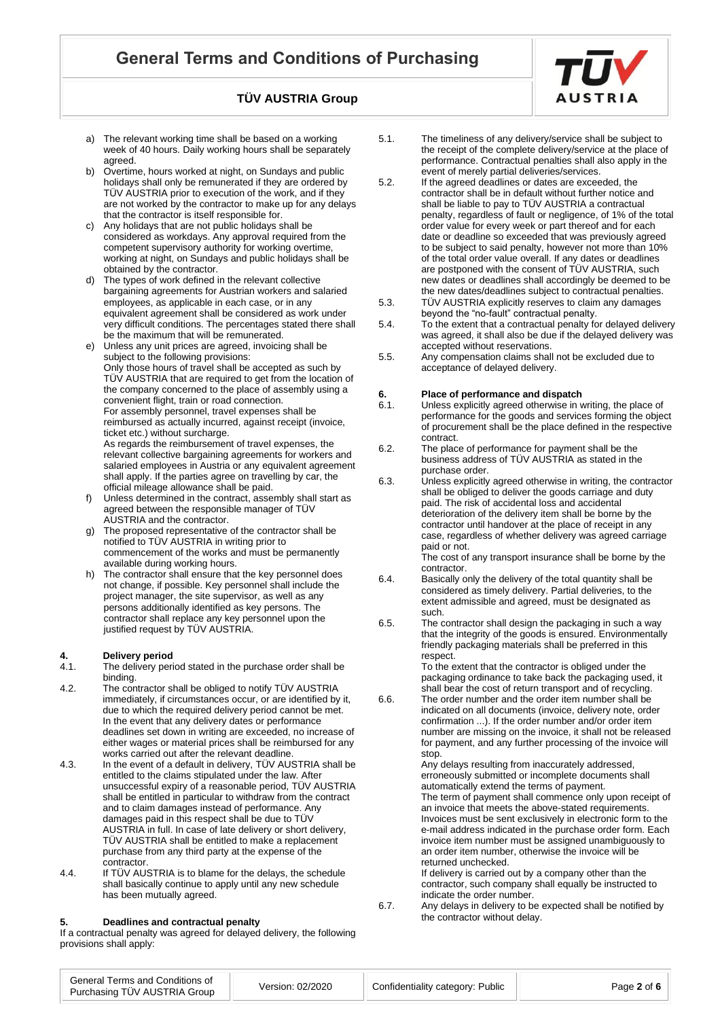- a) The relevant working time shall be based on a working week of 40 hours. Daily working hours shall be separately agreed.
- Overtime, hours worked at night, on Sundays and public holidays shall only be remunerated if they are ordered by TÜV AUSTRIA prior to execution of the work, and if they are not worked by the contractor to make up for any delays that the contractor is itself responsible for.
- c) Any holidays that are not public holidays shall be considered as workdays. Any approval required from the competent supervisory authority for working overtime, working at night, on Sundays and public holidays shall be obtained by the contractor.
- d) The types of work defined in the relevant collective bargaining agreements for Austrian workers and salaried employees, as applicable in each case, or in any equivalent agreement shall be considered as work under very difficult conditions. The percentages stated there shall be the maximum that will be remunerated.
- Unless any unit prices are agreed, invoicing shall be subject to the following provisions: Only those hours of travel shall be accepted as such by TÜV AUSTRIA that are required to get from the location of the company concerned to the place of assembly using a convenient flight, train or road connection. For assembly personnel, travel expenses shall be reimbursed as actually incurred, against receipt (invoice, ticket etc.) without surcharge. As regards the reimbursement of travel expenses, the relevant collective bargaining agreements for workers and salaried employees in Austria or any equivalent agreement shall apply. If the parties agree on travelling by car, the official mileage allowance shall be paid.
- f) Unless determined in the contract, assembly shall start as agreed between the responsible manager of TÜV AUSTRIA and the contractor.
- g) The proposed representative of the contractor shall be notified to TÜV AUSTRIA in writing prior to commencement of the works and must be permanently available during working hours.
- h) The contractor shall ensure that the key personnel does not change, if possible. Key personnel shall include the project manager, the site supervisor, as well as any persons additionally identified as key persons. The contractor shall replace any key personnel upon the justified request by TÜV AUSTRIA.

# **4.** Delivery period<br>4.1. The delivery period

- The delivery period stated in the purchase order shall be binding.
- 4.2. The contractor shall be obliged to notify TÜV AUSTRIA immediately, if circumstances occur, or are identified by it, due to which the required delivery period cannot be met. In the event that any delivery dates or performance deadlines set down in writing are exceeded, no increase of either wages or material prices shall be reimbursed for any works carried out after the relevant deadline.
- 4.3. In the event of a default in delivery, TÜV AUSTRIA shall be entitled to the claims stipulated under the law. After unsuccessful expiry of a reasonable period, TÜV AUSTRIA shall be entitled in particular to withdraw from the contract and to claim damages instead of performance. Any damages paid in this respect shall be due to TÜV AUSTRIA in full. In case of late delivery or short delivery, TÜV AUSTRIA shall be entitled to make a replacement purchase from any third party at the expense of the contractor.
- 4.4. If TÜV AUSTRIA is to blame for the delays, the schedule shall basically continue to apply until any new schedule has been mutually agreed.

#### **5. Deadlines and contractual penalty**

If a contractual penalty was agreed for delayed delivery, the following provisions shall apply:

- 5.1. The timeliness of any delivery/service shall be subject to the receipt of the complete delivery/service at the place of performance. Contractual penalties shall also apply in the event of merely partial deliveries/services.
- 5.2. If the agreed deadlines or dates are exceeded, the contractor shall be in default without further notice and shall be liable to pay to TÜV AUSTRIA a contractual penalty, regardless of fault or negligence, of 1% of the total order value for every week or part thereof and for each date or deadline so exceeded that was previously agreed to be subject to said penalty, however not more than 10% of the total order value overall. If any dates or deadlines are postponed with the consent of TUV AUSTRIA, such new dates or deadlines shall accordingly be deemed to be the new dates/deadlines subject to contractual penalties.
- 5.3. TÜV AUSTRIA explicitly reserves to claim any damages beyond the "no-fault" contractual penalty.
- 5.4. To the extent that a contractual penalty for delayed delivery was agreed, it shall also be due if the delayed delivery was accepted without reservations.
- 5.5. Any compensation claims shall not be excluded due to acceptance of delayed delivery.

# **6.** Place of performance and dispatch<br>**6.1.** Unless explicitly agreed otherwise in v

- Unless explicitly agreed otherwise in writing, the place of performance for the goods and services forming the object of procurement shall be the place defined in the respective contract.
- 6.2. The place of performance for payment shall be the business address of TÜV AUSTRIA as stated in the purchase order.
- 6.3. Unless explicitly agreed otherwise in writing, the contractor shall be obliged to deliver the goods carriage and duty paid. The risk of accidental loss and accidental deterioration of the delivery item shall be borne by the contractor until handover at the place of receipt in any case, regardless of whether delivery was agreed carriage paid or not.

The cost of any transport insurance shall be borne by the contractor.

- 6.4. Basically only the delivery of the total quantity shall be considered as timely delivery. Partial deliveries, to the extent admissible and agreed, must be designated as such.
- 6.5. The contractor shall design the packaging in such a way that the integrity of the goods is ensured. Environmentally friendly packaging materials shall be preferred in this respect.

To the extent that the contractor is obliged under the packaging ordinance to take back the packaging used, it shall bear the cost of return transport and of recycling.

6.6. The order number and the order item number shall be indicated on all documents (invoice, delivery note, order confirmation ...). If the order number and/or order item number are missing on the invoice, it shall not be released for payment, and any further processing of the invoice will stop.

> Any delays resulting from inaccurately addressed, erroneously submitted or incomplete documents shall automatically extend the terms of payment.

The term of payment shall commence only upon receipt of an invoice that meets the above-stated requirements. Invoices must be sent exclusively in electronic form to the e-mail address indicated in the purchase order form. Each invoice item number must be assigned unambiguously to an order item number, otherwise the invoice will be returned unchecked.

If delivery is carried out by a company other than the contractor, such company shall equally be instructed to indicate the order number.

6.7. Any delays in delivery to be expected shall be notified by the contractor without delay.

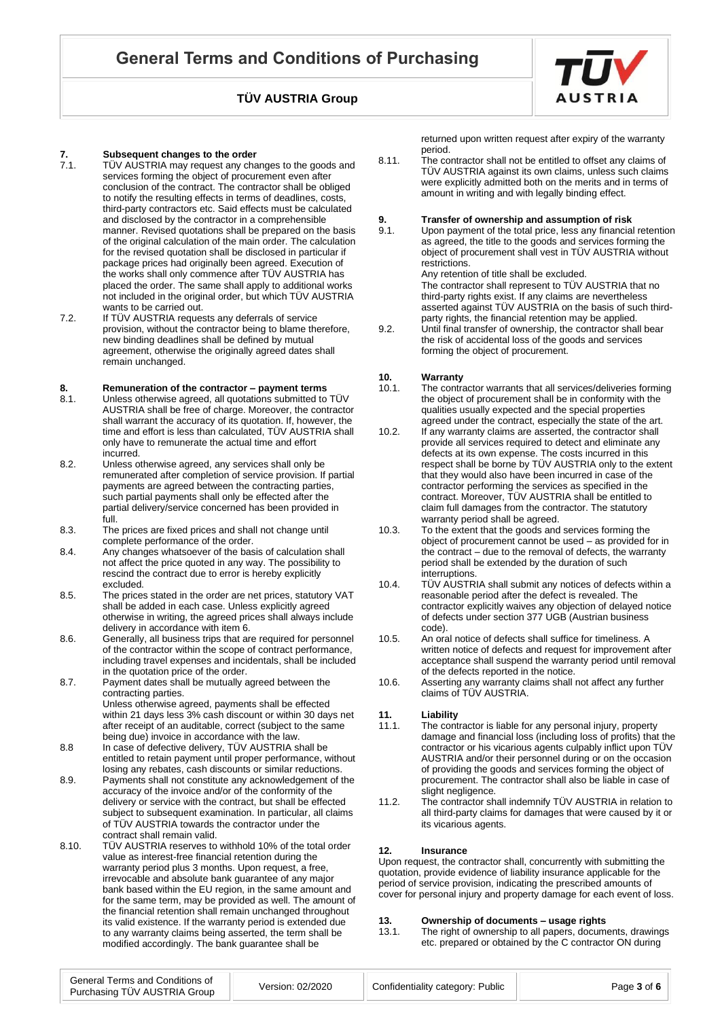

- TÜV AUSTRIA may request any changes to the goods and services forming the object of procurement even after conclusion of the contract. The contractor shall be obliged to notify the resulting effects in terms of deadlines, costs, third-party contractors etc. Said effects must be calculated and disclosed by the contractor in a comprehensible manner. Revised quotations shall be prepared on the basis of the original calculation of the main order. The calculation for the revised quotation shall be disclosed in particular if package prices had originally been agreed. Execution of the works shall only commence after TÜV AUSTRIA has placed the order. The same shall apply to additional works not included in the original order, but which TÜV AUSTRIA wants to be carried out.
- 7.2. If TÜV AUSTRIA requests any deferrals of service provision, without the contractor being to blame therefore, new binding deadlines shall be defined by mutual agreement, otherwise the originally agreed dates shall remain unchanged.

# **8. Remuneration of the contractor – payment terms**

- Unless otherwise agreed, all quotations submitted to TÜV AUSTRIA shall be free of charge. Moreover, the contractor shall warrant the accuracy of its quotation. If, however, the time and effort is less than calculated, TÜV AUSTRIA shall only have to remunerate the actual time and effort incurred.
- 8.2. Unless otherwise agreed, any services shall only be remunerated after completion of service provision. If partial payments are agreed between the contracting parties, such partial payments shall only be effected after the partial delivery/service concerned has been provided in full.
- 8.3. The prices are fixed prices and shall not change until complete performance of the order.
- 8.4. Any changes whatsoever of the basis of calculation shall not affect the price quoted in any way. The possibility to rescind the contract due to error is hereby explicitly excluded.
- 8.5. The prices stated in the order are net prices, statutory VAT shall be added in each case. Unless explicitly agreed otherwise in writing, the agreed prices shall always include delivery in accordance with item 6.
- 8.6. Generally, all business trips that are required for personnel of the contractor within the scope of contract performance, including travel expenses and incidentals, shall be included in the quotation price of the order.
- 8.7. Payment dates shall be mutually agreed between the contracting parties. Unless otherwise agreed, payments shall be effected within 21 days less 3% cash discount or within 30 days net after receipt of an auditable, correct (subject to the same being due) invoice in accordance with the law.
- 8.8 In case of defective delivery, TÜV AUSTRIA shall be entitled to retain payment until proper performance, without losing any rebates, cash discounts or similar reductions.
- 8.9. Payments shall not constitute any acknowledgement of the accuracy of the invoice and/or of the conformity of the delivery or service with the contract, but shall be effected subject to subsequent examination. In particular, all claims of TÜV AUSTRIA towards the contractor under the contract shall remain valid.
- 8.10. TÜV AUSTRIA reserves to withhold 10% of the total order value as interest-free financial retention during the warranty period plus 3 months. Upon request, a free, irrevocable and absolute bank guarantee of any major bank based within the EU region, in the same amount and for the same term, may be provided as well. The amount of the financial retention shall remain unchanged throughout its valid existence. If the warranty period is extended due to any warranty claims being asserted, the term shall be modified accordingly. The bank guarantee shall be

returned upon written request after expiry of the warranty period.

8.11. The contractor shall not be entitled to offset any claims of TÜV AUSTRIA against its own claims, unless such claims were explicitly admitted both on the merits and in terms of amount in writing and with legally binding effect.

# **9. Transfer of ownership and assumption of risk**<br>**9.1.** Upon payment of the total price, less any financial

Upon payment of the total price, less any financial retention as agreed, the title to the goods and services forming the object of procurement shall vest in TÜV AUSTRIA without restrictions.

Any retention of title shall be excluded. The contractor shall represent to TÜV AUSTRIA that no third-party rights exist. If any claims are nevertheless asserted against TÜV AUSTRIA on the basis of such thirdparty rights, the financial retention may be applied.

9.2. Until final transfer of ownership, the contractor shall bear the risk of accidental loss of the goods and services forming the object of procurement.

## **10.** Warranty<br>10.1. The contra

- The contractor warrants that all services/deliveries forming the object of procurement shall be in conformity with the qualities usually expected and the special properties agreed under the contract, especially the state of the art.
- 10.2. If any warranty claims are asserted, the contractor shall provide all services required to detect and eliminate any defects at its own expense. The costs incurred in this respect shall be borne by TÜV AUSTRIA only to the extent that they would also have been incurred in case of the contractor performing the services as specified in the contract. Moreover, TUV AUSTRIA shall be entitled to claim full damages from the contractor. The statutory warranty period shall be agreed.
- 10.3. To the extent that the goods and services forming the object of procurement cannot be used – as provided for in the contract – due to the removal of defects, the warranty period shall be extended by the duration of such interruptions.
- 10.4. TÜV AUSTRIA shall submit any notices of defects within a reasonable period after the defect is revealed. The contractor explicitly waives any objection of delayed notice of defects under section 377 UGB (Austrian business code).
- 10.5. An oral notice of defects shall suffice for timeliness. A written notice of defects and request for improvement after acceptance shall suspend the warranty period until removal of the defects reported in the notice.
- 10.6. Asserting any warranty claims shall not affect any further claims of TÜV AUSTRIA.

## **11. Liability**

- The contractor is liable for any personal injury, property damage and financial loss (including loss of profits) that the contractor or his vicarious agents culpably inflict upon TÜV AUSTRIA and/or their personnel during or on the occasion of providing the goods and services forming the object of procurement. The contractor shall also be liable in case of slight negligence.
- 11.2. The contractor shall indemnify TÜV AUSTRIA in relation to all third-party claims for damages that were caused by it or its vicarious agents.

#### **12. Insurance**

Upon request, the contractor shall, concurrently with submitting the quotation, provide evidence of liability insurance applicable for the period of service provision, indicating the prescribed amounts of cover for personal injury and property damage for each event of loss.

# **13. Ownership of documents – usage rights**

The right of ownership to all papers, documents, drawings etc. prepared or obtained by the C contractor ON during

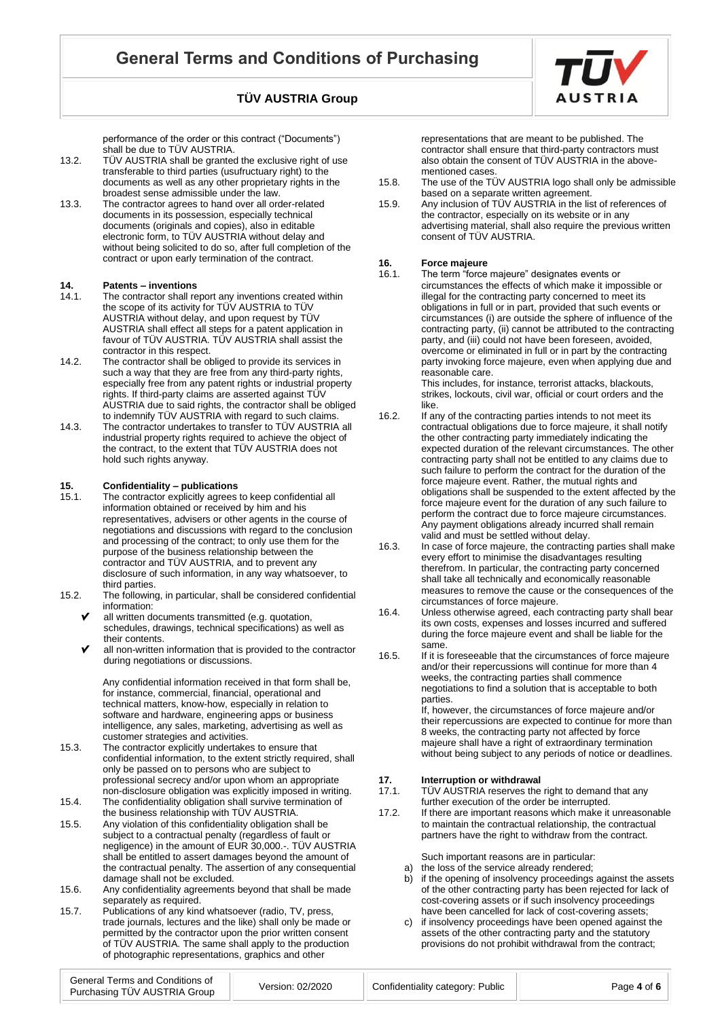performance of the order or this contract ("Documents") shall be due to TÜV AUSTRIA.

- 13.2. TÜV AUSTRIA shall be granted the exclusive right of use transferable to third parties (usufructuary right) to the documents as well as any other proprietary rights in the broadest sense admissible under the law.
- 13.3. The contractor agrees to hand over all order-related documents in its possession, especially technical documents (originals and copies), also in editable electronic form, to TÜV AUSTRIA without delay and without being solicited to do so, after full completion of the contract or upon early termination of the contract.

## **14. Patents – inventions**

- The contractor shall report any inventions created within the scope of its activity for TÜV AUSTRIA to TÜV AUSTRIA without delay, and upon request by TÜV AUSTRIA shall effect all steps for a patent application in favour of TÜV AUSTRIA. TÜV AUSTRIA shall assist the contractor in this respect.
- 14.2. The contractor shall be obliged to provide its services in such a way that they are free from any third-party rights, especially free from any patent rights or industrial property rights. If third-party claims are asserted against TÜV AUSTRIA due to said rights, the contractor shall be obliged to indemnify TÜV AUSTRIA with regard to such claims.
- 14.3. The contractor undertakes to transfer to TÜV AUSTRIA all industrial property rights required to achieve the object of the contract, to the extent that TÜV AUSTRIA does not hold such rights anyway.

## **15. Confidentiality – publications**

- The contractor explicitly agrees to keep confidential all information obtained or received by him and his representatives, advisers or other agents in the course of negotiations and discussions with regard to the conclusion and processing of the contract; to only use them for the purpose of the business relationship between the contractor and TÜV AUSTRIA, and to prevent any disclosure of such information, in any way whatsoever, to third parties.
- 15.2. The following, in particular, shall be considered confidential information:
	- all written documents transmitted (e.g. quotation, schedules, drawings, technical specifications) as well as their contents.
	- all non-written information that is provided to the contractor during negotiations or discussions.

Any confidential information received in that form shall be, for instance, commercial, financial, operational and technical matters, know-how, especially in relation to software and hardware, engineering apps or business intelligence, any sales, marketing, advertising as well as customer strategies and activities.

- 15.3. The contractor explicitly undertakes to ensure that confidential information, to the extent strictly required, shall only be passed on to persons who are subject to professional secrecy and/or upon whom an appropriate non-disclosure obligation was explicitly imposed in writing.
- 15.4. The confidentiality obligation shall survive termination of the business relationship with TÜV AUSTRIA.
- 15.5. Any violation of this confidentiality obligation shall be subject to a contractual penalty (regardless of fault or negligence) in the amount of EUR 30,000.-. TÜV AUSTRIA shall be entitled to assert damages beyond the amount of the contractual penalty. The assertion of any consequential damage shall not be excluded.
- 15.6. Any confidentiality agreements beyond that shall be made separately as required.
- 15.7. Publications of any kind whatsoever (radio, TV, press, trade journals, lectures and the like) shall only be made or permitted by the contractor upon the prior written consent of TÜV AUSTRIA. The same shall apply to the production of photographic representations, graphics and other

representations that are meant to be published. The contractor shall ensure that third-party contractors must also obtain the consent of TÜV AUSTRIA in the abovementioned cases.

- 15.8. The use of the TÜV AUSTRIA logo shall only be admissible based on a separate written agreement.
- 15.9. Any inclusion of TÜV AUSTRIA in the list of references of the contractor, especially on its website or in any advertising material, shall also require the previous written consent of TÜV AUSTRIA.

# **16.** Force majeure<br>**16.1.** The term "force

The term "force majeure" designates events or circumstances the effects of which make it impossible or illegal for the contracting party concerned to meet its obligations in full or in part, provided that such events or circumstances (i) are outside the sphere of influence of the contracting party, (ii) cannot be attributed to the contracting party, and (iii) could not have been foreseen, avoided, overcome or eliminated in full or in part by the contracting party invoking force majeure, even when applying due and reasonable care. This includes, for instance, terrorist attacks, blackouts,

strikes, lockouts, civil war, official or court orders and the like.

- 16.2. If any of the contracting parties intends to not meet its contractual obligations due to force majeure, it shall notify the other contracting party immediately indicating the expected duration of the relevant circumstances. The other contracting party shall not be entitled to any claims due to such failure to perform the contract for the duration of the force majeure event. Rather, the mutual rights and obligations shall be suspended to the extent affected by the force majeure event for the duration of any such failure to perform the contract due to force majeure circumstances. Any payment obligations already incurred shall remain valid and must be settled without delay.
- 16.3. In case of force majeure, the contracting parties shall make every effort to minimise the disadvantages resulting therefrom. In particular, the contracting party concerned shall take all technically and economically reasonable measures to remove the cause or the consequences of the circumstances of force majeure.
- 16.4. Unless otherwise agreed, each contracting party shall bear its own costs, expenses and losses incurred and suffered during the force majeure event and shall be liable for the same.
- 16.5. If it is foreseeable that the circumstances of force majeure and/or their repercussions will continue for more than 4 weeks, the contracting parties shall commence negotiations to find a solution that is acceptable to both parties.

If, however, the circumstances of force majeure and/or their repercussions are expected to continue for more than 8 weeks, the contracting party not affected by force majeure shall have a right of extraordinary termination without being subject to any periods of notice or deadlines.

# **17. Interruption or withdrawal**<br>17.1. TÜV AUSTRIA reserves the

TÜV AUSTRIA reserves the right to demand that any further execution of the order be interrupted.

17.2. If there are important reasons which make it unreasonable to maintain the contractual relationship, the contractual partners have the right to withdraw from the contract.

Such important reasons are in particular:

- a) the loss of the service already rendered;
- b) if the opening of insolvency proceedings against the assets of the other contracting party has been rejected for lack of cost-covering assets or if such insolvency proceedings have been cancelled for lack of cost-covering assets;
- c) if insolvency proceedings have been opened against the assets of the other contracting party and the statutory provisions do not prohibit withdrawal from the contract;

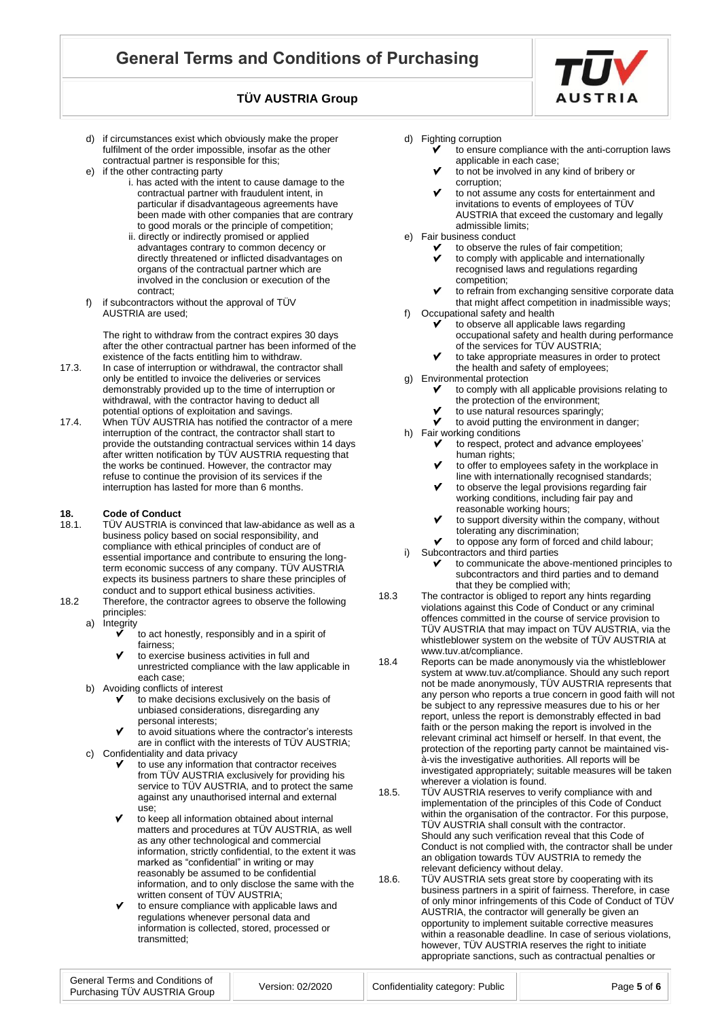- d) if circumstances exist which obviously make the proper fulfilment of the order impossible, insofar as the other contractual partner is responsible for this;
- e) if the other contracting party
	- i. has acted with the intent to cause damage to the contractual partner with fraudulent intent, in particular if disadvantageous agreements have been made with other companies that are contrary to good morals or the principle of competition;
	- ii. directly or indirectly promised or applied advantages contrary to common decency or directly threatened or inflicted disadvantages on organs of the contractual partner which are involved in the conclusion or execution of the contract;
- f) if subcontractors without the approval of TÜV AUSTRIA are used;

The right to withdraw from the contract expires 30 days after the other contractual partner has been informed of the existence of the facts entitling him to withdraw.

- 17.3. In case of interruption or withdrawal, the contractor shall only be entitled to invoice the deliveries or services demonstrably provided up to the time of interruption or withdrawal, with the contractor having to deduct all potential options of exploitation and savings.
- 17.4. When TÜV AUSTRIA has notified the contractor of a mere interruption of the contract, the contractor shall start to provide the outstanding contractual services within 14 days after written notification by TÜV AUSTRIA requesting that the works be continued. However, the contractor may refuse to continue the provision of its services if the interruption has lasted for more than 6 months.

## **18. Code of Conduct**<br>**18.1 ICOV** AUSTRIA is c

- TÜV AUSTRIA is convinced that law-abidance as well as a business policy based on social responsibility, and compliance with ethical principles of conduct are of essential importance and contribute to ensuring the longterm economic success of any company. TÜV AUSTRIA expects its business partners to share these principles of conduct and to support ethical business activities.
- 18.2 Therefore, the contractor agrees to observe the following principles:
	- a) Integrity
		- to act honestly, responsibly and in a spirit of fairness;
		- to exercise business activities in full and unrestricted compliance with the law applicable in each case;
	- b) Avoiding conflicts of interest
		- to make decisions exclusively on the basis of unbiased considerations, disregarding any personal interests;
		- to avoid situations where the contractor's interests are in conflict with the interests of TÜV AUSTRIA;
	- c) Confidentiality and data privacy
		- to use any information that contractor receives from TÜV AUSTRIA exclusively for providing his service to TÜV AUSTRIA, and to protect the same against any unauthorised internal and external use;
		- to keep all information obtained about internal matters and procedures at TÜV AUSTRIA, as well as any other technological and commercial information, strictly confidential, to the extent it was marked as "confidential" in writing or may reasonably be assumed to be confidential information, and to only disclose the same with the written consent of TÜV AUSTRIA;
		- to ensure compliance with applicable laws and regulations whenever personal data and information is collected, stored, processed or transmitted;



- d) Fighting corruption
	- to ensure compliance with the anti-corruption laws applicable in each case;
	- to not be involved in any kind of bribery or corruption;
	- to not assume any costs for entertainment and invitations to events of employees of TÜV AUSTRIA that exceed the customary and legally admissible limits;
- e) Fair business conduct
	- to observe the rules of fair competition; ÿ to comply with applicable and internationally recognised laws and regulations regarding competition;
	- to refrain from exchanging sensitive corporate data that might affect competition in inadmissible ways;
- f) Occupational safety and health
	- to observe all applicable laws regarding occupational safety and health during performance of the services for TÜV AUSTRIA;
	- to take appropriate measures in order to protect the health and safety of employees;
- g) Environmental protection to comply with all applicable provisions relating to
	- the protection of the environment;
	- to use natural resources sparingly; v
- to avoid putting the environment in danger; h) Fair working conditions
	- to respect, protect and advance employees' human rights;
	- V to offer to employees safety in the workplace in line with internationally recognised standards;
	- to observe the legal provisions regarding fair working conditions, including fair pay and reasonable working hours;
	- to support diversity within the company, without tolerating any discrimination;
	- to oppose any form of forced and child labour;
- Subcontractors and third parties to communicate the above-mentioned principles to subcontractors and third parties and to demand
- that they be complied with; 18.3 The contractor is obliged to report any hints regarding violations against this Code of Conduct or any criminal offences committed in the course of service provision to TÜV AUSTRIA that may impact on TÜV AUSTRIA, via the whistleblower system on the website of TÜV AUSTRIA at [www.tuv.at/compliance.](http://www.tuv.at/compliance)
- 18.4 Reports can be made anonymously via the whistleblower system a[t www.tuv.at/compliance.](http://www.tuv.at/compliance) Should any such report not be made anonymously, TÜV AUSTRIA represents that any person who reports a true concern in good faith will not be subject to any repressive measures due to his or her report, unless the report is demonstrably effected in bad faith or the person making the report is involved in the relevant criminal act himself or herself. In that event, the protection of the reporting party cannot be maintained visà-vis the investigative authorities. All reports will be investigated appropriately; suitable measures will be taken wherever a violation is found.
- 18.5. TÜV AUSTRIA reserves to verify compliance with and implementation of the principles of this Code of Conduct within the organisation of the contractor. For this purpose, TÜV AUSTRIA shall consult with the contractor. Should any such verification reveal that this Code of Conduct is not complied with, the contractor shall be under an obligation towards TÜV AUSTRIA to remedy the relevant deficiency without delay.
- 18.6. TÜV AUSTRIA sets great store by cooperating with its business partners in a spirit of fairness. Therefore, in case of only minor infringements of this Code of Conduct of TÜV AUSTRIA, the contractor will generally be given an opportunity to implement suitable corrective measures within a reasonable deadline. In case of serious violations, however, TÜV AUSTRIA reserves the right to initiate appropriate sanctions, such as contractual penalties or